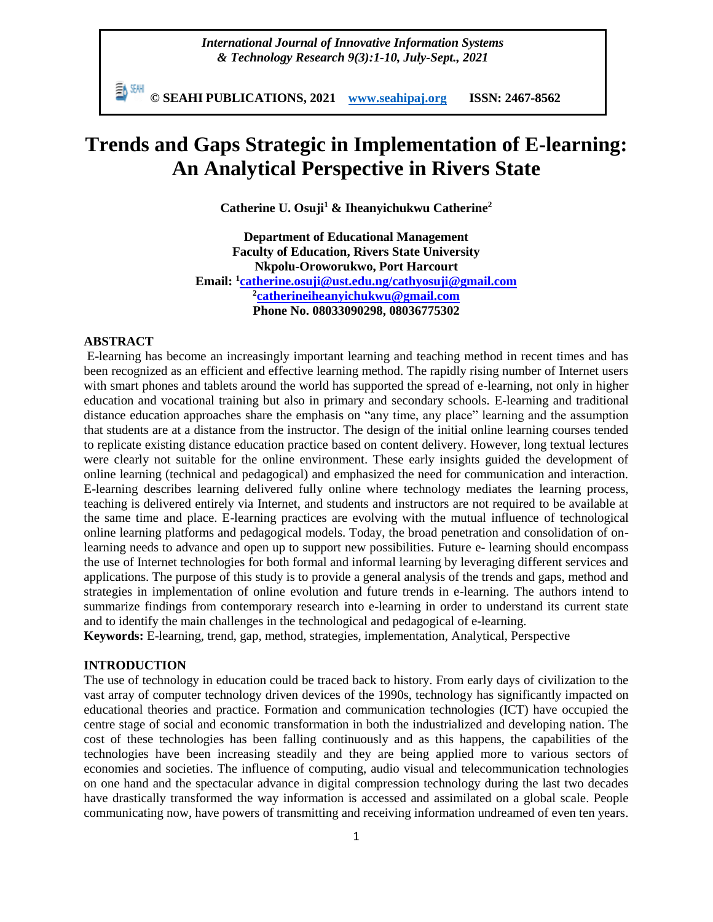*International Journal of Innovative Information Systems & Technology Research 9(3):1-10, July-Sept., 2021*

勤酬 **© SEAHI PUBLICATIONS, 2021 [www.seahipaj.org](http://www.seahipaj.org/) ISSN: 2467-8562**

# **Trends and Gaps Strategic in Implementation of E-learning: An Analytical Perspective in Rivers State**

**Catherine U. Osuji<sup>1</sup> & Iheanyichukwu Catherine<sup>2</sup>**

**Department of Educational Management Faculty of Education, Rivers State University Nkpolu-Oroworukwo, Port Harcourt Email: <sup>1</sup> [catherine.osuji@ust.edu.ng/](mailto:catherine.osuji@ust.edu.ng)[cathyosuji@gmail.com](mailto:cathyosuji@gmail.com) 2 [catherineiheanyichukwu@gmail.com](mailto:catherineiheanyichukwu@gmail.com) Phone No. 08033090298, 08036775302**

# **ABSTRACT**

E-learning has become an increasingly important learning and teaching method in recent times and has been recognized as an efficient and effective learning method. The rapidly rising number of Internet users with smart phones and tablets around the world has supported the spread of e-learning, not only in higher education and vocational training but also in primary and secondary schools. E-learning and traditional distance education approaches share the emphasis on "any time, any place" learning and the assumption that students are at a distance from the instructor. The design of the initial online learning courses tended to replicate existing distance education practice based on content delivery. However, long textual lectures were clearly not suitable for the online environment. These early insights guided the development of online learning (technical and pedagogical) and emphasized the need for communication and interaction. E-learning describes learning delivered fully online where technology mediates the learning process, teaching is delivered entirely via Internet, and students and instructors are not required to be available at the same time and place. E-learning practices are evolving with the mutual influence of technological online learning platforms and pedagogical models. Today, the broad penetration and consolidation of onlearning needs to advance and open up to support new possibilities. Future e- learning should encompass the use of Internet technologies for both formal and informal learning by leveraging different services and applications. The purpose of this study is to provide a general analysis of the trends and gaps, method and strategies in implementation of online evolution and future trends in e-learning. The authors intend to summarize findings from contemporary research into e-learning in order to understand its current state and to identify the main challenges in the technological and pedagogical of e-learning.

**Keywords:** E-learning, trend, gap, method, strategies, implementation, Analytical, Perspective

# **INTRODUCTION**

The use of technology in education could be traced back to history. From early days of civilization to the vast array of computer technology driven devices of the 1990s, technology has significantly impacted on educational theories and practice. Formation and communication technologies (ICT) have occupied the centre stage of social and economic transformation in both the industrialized and developing nation. The cost of these technologies has been falling continuously and as this happens, the capabilities of the technologies have been increasing steadily and they are being applied more to various sectors of economies and societies. The influence of computing, audio visual and telecommunication technologies on one hand and the spectacular advance in digital compression technology during the last two decades have drastically transformed the way information is accessed and assimilated on a global scale. People communicating now, have powers of transmitting and receiving information undreamed of even ten years.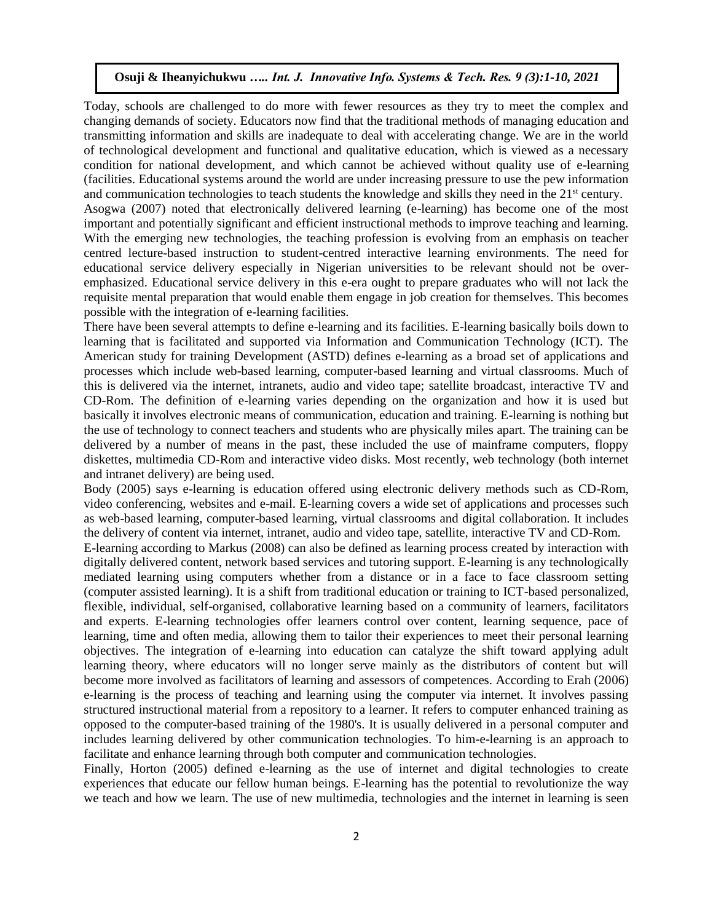Today, schools are challenged to do more with fewer resources as they try to meet the complex and changing demands of society. Educators now find that the traditional methods of managing education and transmitting information and skills are inadequate to deal with accelerating change. We are in the world of technological development and functional and qualitative education, which is viewed as a necessary condition for national development, and which cannot be achieved without quality use of e-learning (facilities. Educational systems around the world are under increasing pressure to use the pew information and communication technologies to teach students the knowledge and skills they need in the  $21<sup>st</sup>$  century. Asogwa (2007) noted that electronically delivered learning (e-learning) has become one of the most important and potentially significant and efficient instructional methods to improve teaching and learning. With the emerging new technologies, the teaching profession is evolving from an emphasis on teacher centred lecture-based instruction to student-centred interactive learning environments. The need for educational service delivery especially in Nigerian universities to be relevant should not be overemphasized. Educational service delivery in this e-era ought to prepare graduates who will not lack the requisite mental preparation that would enable them engage in job creation for themselves. This becomes possible with the integration of e-learning facilities.

There have been several attempts to define e-learning and its facilities. E-learning basically boils down to learning that is facilitated and supported via Information and Communication Technology (ICT). The American study for training Development (ASTD) defines e-learning as a broad set of applications and processes which include web-based learning, computer-based learning and virtual classrooms. Much of this is delivered via the internet, intranets, audio and video tape; satellite broadcast, interactive TV and CD-Rom. The definition of e-learning varies depending on the organization and how it is used but basically it involves electronic means of communication, education and training. E-learning is nothing but the use of technology to connect teachers and students who are physically miles apart. The training can be delivered by a number of means in the past, these included the use of mainframe computers, floppy diskettes, multimedia CD-Rom and interactive video disks. Most recently, web technology (both internet and intranet delivery) are being used.

Body (2005) says e-learning is education offered using electronic delivery methods such as CD-Rom, video conferencing, websites and e-mail. E-learning covers a wide set of applications and processes such as web-based learning, computer-based learning, virtual classrooms and digital collaboration. It includes the delivery of content via internet, intranet, audio and video tape, satellite, interactive TV and CD-Rom.

E-learning according to Markus (2008) can also be defined as learning process created by interaction with digitally delivered content, network based services and tutoring support. E-learning is any technologically mediated learning using computers whether from a distance or in a face to face classroom setting (computer assisted learning). It is a shift from traditional education or training to ICT-based personalized, flexible, individual, self-organised, collaborative learning based on a community of learners, facilitators and experts. E-learning technologies offer learners control over content, learning sequence, pace of learning, time and often media, allowing them to tailor their experiences to meet their personal learning objectives. The integration of e-learning into education can catalyze the shift toward applying adult learning theory, where educators will no longer serve mainly as the distributors of content but will become more involved as facilitators of learning and assessors of competences. According to Erah (2006) e-learning is the process of teaching and learning using the computer via internet. It involves passing structured instructional material from a repository to a learner. It refers to computer enhanced training as opposed to the computer-based training of the 1980's. It is usually delivered in a personal computer and includes learning delivered by other communication technologies. To him-e-learning is an approach to facilitate and enhance learning through both computer and communication technologies.

Finally, Horton (2005) defined e-learning as the use of internet and digital technologies to create experiences that educate our fellow human beings. E-learning has the potential to revolutionize the way we teach and how we learn. The use of new multimedia, technologies and the internet in learning is seen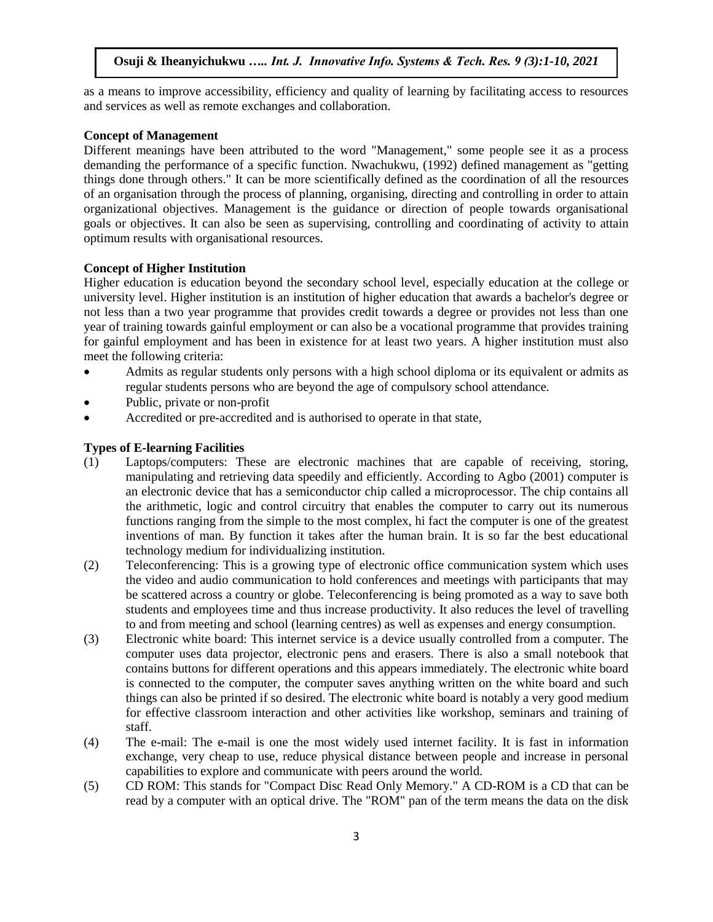as a means to improve accessibility, efficiency and quality of learning by facilitating access to resources and services as well as remote exchanges and collaboration.

#### **Concept of Management**

Different meanings have been attributed to the word "Management," some people see it as a process demanding the performance of a specific function. Nwachukwu, (1992) defined management as "getting things done through others." It can be more scientifically defined as the coordination of all the resources of an organisation through the process of planning, organising, directing and controlling in order to attain organizational objectives. Management is the guidance or direction of people towards organisational goals or objectives. It can also be seen as supervising, controlling and coordinating of activity to attain optimum results with organisational resources.

## **Concept of Higher Institution**

Higher education is education beyond the secondary school level, especially education at the college or university level. Higher institution is an institution of higher education that awards a bachelor's degree or not less than a two year programme that provides credit towards a degree or provides not less than one year of training towards gainful employment or can also be a vocational programme that provides training for gainful employment and has been in existence for at least two years. A higher institution must also meet the following criteria:

- Admits as regular students only persons with a high school diploma or its equivalent or admits as regular students persons who are beyond the age of compulsory school attendance.
- Public, private or non-profit
- Accredited or pre-accredited and is authorised to operate in that state,

# **Types of E-learning Facilities**

- (1) Laptops/computers: These are electronic machines that are capable of receiving, storing, manipulating and retrieving data speedily and efficiently. According to Agbo (2001) computer is an electronic device that has a semiconductor chip called a microprocessor. The chip contains all the arithmetic, logic and control circuitry that enables the computer to carry out its numerous functions ranging from the simple to the most complex, hi fact the computer is one of the greatest inventions of man. By function it takes after the human brain. It is so far the best educational technology medium for individualizing institution.
- (2) Teleconferencing: This is a growing type of electronic office communication system which uses the video and audio communication to hold conferences and meetings with participants that may be scattered across a country or globe. Teleconferencing is being promoted as a way to save both students and employees time and thus increase productivity. It also reduces the level of travelling to and from meeting and school (learning centres) as well as expenses and energy consumption.
- (3) Electronic white board: This internet service is a device usually controlled from a computer. The computer uses data projector, electronic pens and erasers. There is also a small notebook that contains buttons for different operations and this appears immediately. The electronic white board is connected to the computer, the computer saves anything written on the white board and such things can also be printed if so desired. The electronic white board is notably a very good medium for effective classroom interaction and other activities like workshop, seminars and training of staff.
- (4) The e-mail: The e-mail is one the most widely used internet facility. It is fast in information exchange, very cheap to use, reduce physical distance between people and increase in personal capabilities to explore and communicate with peers around the world.
- (5) CD ROM: This stands for "Compact Disc Read Only Memory." A CD-ROM is a CD that can be read by a computer with an optical drive. The "ROM" pan of the term means the data on the disk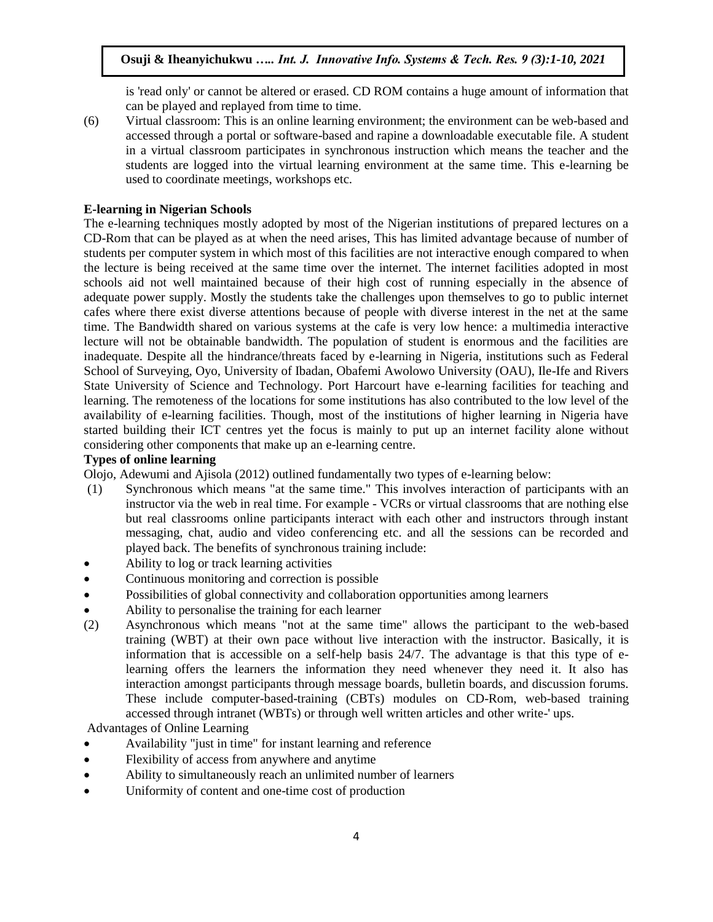is 'read only' or cannot be altered or erased. CD ROM contains a huge amount of information that can be played and replayed from time to time.

(6) Virtual classroom: This is an online learning environment; the environment can be web-based and accessed through a portal or software-based and rapine a downloadable executable file. A student in a virtual classroom participates in synchronous instruction which means the teacher and the students are logged into the virtual learning environment at the same time. This e-learning be used to coordinate meetings, workshops etc.

## **E-learning in Nigerian Schools**

The e-learning techniques mostly adopted by most of the Nigerian institutions of prepared lectures on a CD-Rom that can be played as at when the need arises, This has limited advantage because of number of students per computer system in which most of this facilities are not interactive enough compared to when the lecture is being received at the same time over the internet. The internet facilities adopted in most schools aid not well maintained because of their high cost of running especially in the absence of adequate power supply. Mostly the students take the challenges upon themselves to go to public internet cafes where there exist diverse attentions because of people with diverse interest in the net at the same time. The Bandwidth shared on various systems at the cafe is very low hence: a multimedia interactive lecture will not be obtainable bandwidth. The population of student is enormous and the facilities are inadequate. Despite all the hindrance/threats faced by e-learning in Nigeria, institutions such as Federal School of Surveying, Oyo, University of Ibadan, Obafemi Awolowo University (OAU), Ile-Ife and Rivers State University of Science and Technology. Port Harcourt have e-learning facilities for teaching and learning. The remoteness of the locations for some institutions has also contributed to the low level of the availability of e-learning facilities. Though, most of the institutions of higher learning in Nigeria have started building their ICT centres yet the focus is mainly to put up an internet facility alone without considering other components that make up an e-learning centre.

# **Types of online learning**

Olojo, Adewumi and Ajisola (2012) outlined fundamentally two types of e-learning below:

- (1) Synchronous which means "at the same time." This involves interaction of participants with an instructor via the web in real time. For example - VCRs or virtual classrooms that are nothing else but real classrooms online participants interact with each other and instructors through instant messaging, chat, audio and video conferencing etc. and all the sessions can be recorded and played back. The benefits of synchronous training include:
- Ability to log or track learning activities
- Continuous monitoring and correction is possible
- Possibilities of global connectivity and collaboration opportunities among learners
- Ability to personalise the training for each learner
- (2) Asynchronous which means "not at the same time" allows the participant to the web-based training (WBT) at their own pace without live interaction with the instructor. Basically, it is information that is accessible on a self-help basis 24/7. The advantage is that this type of elearning offers the learners the information they need whenever they need it. It also has interaction amongst participants through message boards, bulletin boards, and discussion forums. These include computer-based-training (CBTs) modules on CD-Rom, web-based training accessed through intranet (WBTs) or through well written articles and other write-' ups.

Advantages of Online Learning

- Availability "just in time" for instant learning and reference
- Flexibility of access from anywhere and anytime
- Ability to simultaneously reach an unlimited number of learners
- Uniformity of content and one-time cost of production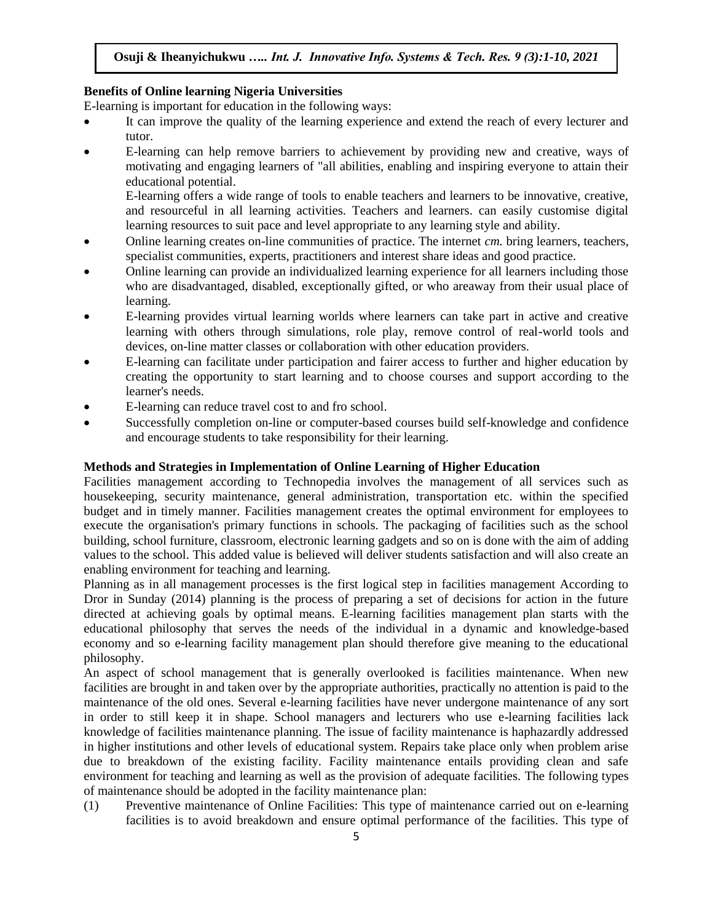## **Benefits of Online learning Nigeria Universities**

E-learning is important for education in the following ways:

- It can improve the quality of the learning experience and extend the reach of every lecturer and tutor.
- E-learning can help remove barriers to achievement by providing new and creative, ways of motivating and engaging learners of "all abilities, enabling and inspiring everyone to attain their educational potential.

E-learning offers a wide range of tools to enable teachers and learners to be innovative, creative, and resourceful in all learning activities. Teachers and learners. can easily customise digital learning resources to suit pace and level appropriate to any learning style and ability.

- Online learning creates on-line communities of practice. The internet *cm.* bring learners, teachers, specialist communities, experts, practitioners and interest share ideas and good practice.
- Online learning can provide an individualized learning experience for all learners including those who are disadvantaged, disabled, exceptionally gifted, or who areaway from their usual place of learning.
- E-learning provides virtual learning worlds where learners can take part in active and creative learning with others through simulations, role play, remove control of real-world tools and devices, on-line matter classes or collaboration with other education providers.
- E-learning can facilitate under participation and fairer access to further and higher education by creating the opportunity to start learning and to choose courses and support according to the learner's needs.
- E-learning can reduce travel cost to and fro school.
- Successfully completion on-line or computer-based courses build self-knowledge and confidence and encourage students to take responsibility for their learning.

## **Methods and Strategies in Implementation of Online Learning of Higher Education**

Facilities management according to Technopedia involves the management of all services such as housekeeping, security maintenance, general administration, transportation etc. within the specified budget and in timely manner. Facilities management creates the optimal environment for employees to execute the organisation's primary functions in schools. The packaging of facilities such as the school building, school furniture, classroom, electronic learning gadgets and so on is done with the aim of adding values to the school. This added value is believed will deliver students satisfaction and will also create an enabling environment for teaching and learning.

Planning as in all management processes is the first logical step in facilities management According to Dror in Sunday (2014) planning is the process of preparing a set of decisions for action in the future directed at achieving goals by optimal means. E-learning facilities management plan starts with the educational philosophy that serves the needs of the individual in a dynamic and knowledge-based economy and so e-learning facility management plan should therefore give meaning to the educational philosophy.

An aspect of school management that is generally overlooked is facilities maintenance. When new facilities are brought in and taken over by the appropriate authorities, practically no attention is paid to the maintenance of the old ones. Several e-learning facilities have never undergone maintenance of any sort in order to still keep it in shape. School managers and lecturers who use e-learning facilities lack knowledge of facilities maintenance planning. The issue of facility maintenance is haphazardly addressed in higher institutions and other levels of educational system. Repairs take place only when problem arise due to breakdown of the existing facility. Facility maintenance entails providing clean and safe environment for teaching and learning as well as the provision of adequate facilities. The following types of maintenance should be adopted in the facility maintenance plan:

(1) Preventive maintenance of Online Facilities: This type of maintenance carried out on e-learning facilities is to avoid breakdown and ensure optimal performance of the facilities. This type of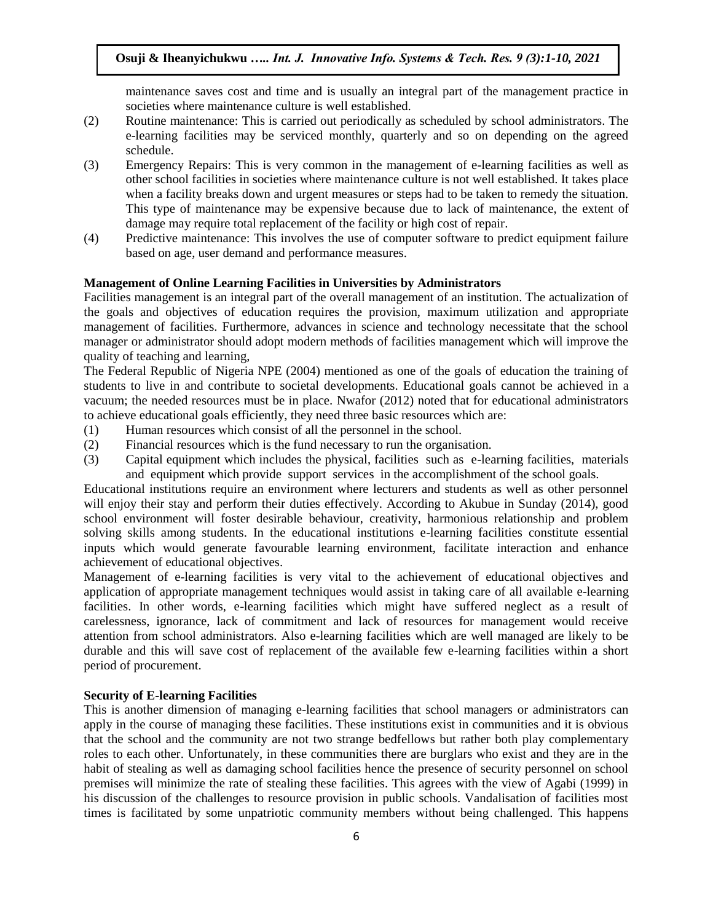maintenance saves cost and time and is usually an integral part of the management practice in societies where maintenance culture is well established.

- (2) Routine maintenance: This is carried out periodically as scheduled by school administrators. The e-learning facilities may be serviced monthly, quarterly and so on depending on the agreed schedule.
- (3) Emergency Repairs: This is very common in the management of e-learning facilities as well as other school facilities in societies where maintenance culture is not well established. It takes place when a facility breaks down and urgent measures or steps had to be taken to remedy the situation. This type of maintenance may be expensive because due to lack of maintenance, the extent of damage may require total replacement of the facility or high cost of repair.
- (4) Predictive maintenance: This involves the use of computer software to predict equipment failure based on age, user demand and performance measures.

## **Management of Online Learning Facilities in Universities by Administrators**

Facilities management is an integral part of the overall management of an institution. The actualization of the goals and objectives of education requires the provision, maximum utilization and appropriate management of facilities. Furthermore, advances in science and technology necessitate that the school manager or administrator should adopt modern methods of facilities management which will improve the quality of teaching and learning,

The Federal Republic of Nigeria NPE (2004) mentioned as one of the goals of education the training of students to live in and contribute to societal developments. Educational goals cannot be achieved in a vacuum; the needed resources must be in place. Nwafor (2012) noted that for educational administrators to achieve educational goals efficiently, they need three basic resources which are:

- (1) Human resources which consist of all the personnel in the school.
- (2) Financial resources which is the fund necessary to run the organisation.
- (3) Capital equipment which includes the physical, facilities such as e-learning facilities, materials and equipment which provide support services in the accomplishment of the school goals.

Educational institutions require an environment where lecturers and students as well as other personnel will enjoy their stay and perform their duties effectively. According to Akubue in Sunday (2014), good school environment will foster desirable behaviour, creativity, harmonious relationship and problem solving skills among students. In the educational institutions e-learning facilities constitute essential inputs which would generate favourable learning environment, facilitate interaction and enhance achievement of educational objectives.

Management of e-learning facilities is very vital to the achievement of educational objectives and application of appropriate management techniques would assist in taking care of all available e-learning facilities. In other words, e-learning facilities which might have suffered neglect as a result of carelessness, ignorance, lack of commitment and lack of resources for management would receive attention from school administrators. Also e-learning facilities which are well managed are likely to be durable and this will save cost of replacement of the available few e-learning facilities within a short period of procurement.

#### **Security of E-learning Facilities**

This is another dimension of managing e-learning facilities that school managers or administrators can apply in the course of managing these facilities. These institutions exist in communities and it is obvious that the school and the community are not two strange bedfellows but rather both play complementary roles to each other. Unfortunately, in these communities there are burglars who exist and they are in the habit of stealing as well as damaging school facilities hence the presence of security personnel on school premises will minimize the rate of stealing these facilities. This agrees with the view of Agabi (1999) in his discussion of the challenges to resource provision in public schools. Vandalisation of facilities most times is facilitated by some unpatriotic community members without being challenged. This happens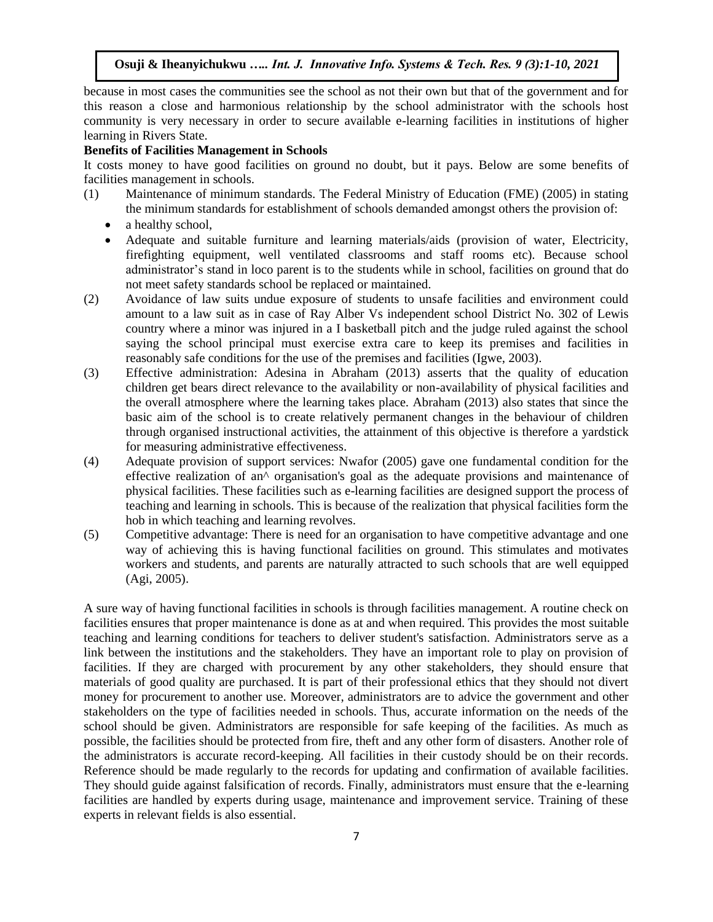because in most cases the communities see the school as not their own but that of the government and for this reason a close and harmonious relationship by the school administrator with the schools host community is very necessary in order to secure available e-learning facilities in institutions of higher learning in Rivers State.

#### **Benefits of Facilities Management in Schools**

It costs money to have good facilities on ground no doubt, but it pays. Below are some benefits of facilities management in schools.

- (1) Maintenance of minimum standards. The Federal Ministry of Education (FME) (2005) in stating the minimum standards for establishment of schools demanded amongst others the provision of:
	- a healthy school,
	- Adequate and suitable furniture and learning materials/aids (provision of water, Electricity, firefighting equipment, well ventilated classrooms and staff rooms etc). Because school administrator's stand in loco parent is to the students while in school, facilities on ground that do not meet safety standards school be replaced or maintained.
- (2) Avoidance of law suits undue exposure of students to unsafe facilities and environment could amount to a law suit as in case of Ray Alber Vs independent school District No. 302 of Lewis country where a minor was injured in a I basketball pitch and the judge ruled against the school saying the school principal must exercise extra care to keep its premises and facilities in reasonably safe conditions for the use of the premises and facilities (Igwe, 2003).
- (3) Effective administration: Adesina in Abraham (2013) asserts that the quality of education children get bears direct relevance to the availability or non-availability of physical facilities and the overall atmosphere where the learning takes place. Abraham (2013) also states that since the basic aim of the school is to create relatively permanent changes in the behaviour of children through organised instructional activities, the attainment of this objective is therefore a yardstick for measuring administrative effectiveness.
- (4) Adequate provision of support services: Nwafor (2005) gave one fundamental condition for the effective realization of an^ organisation's goal as the adequate provisions and maintenance of physical facilities. These facilities such as e-learning facilities are designed support the process of teaching and learning in schools. This is because of the realization that physical facilities form the hob in which teaching and learning revolves.
- (5) Competitive advantage: There is need for an organisation to have competitive advantage and one way of achieving this is having functional facilities on ground. This stimulates and motivates workers and students, and parents are naturally attracted to such schools that are well equipped (Agi, 2005).

A sure way of having functional facilities in schools is through facilities management. A routine check on facilities ensures that proper maintenance is done as at and when required. This provides the most suitable teaching and learning conditions for teachers to deliver student's satisfaction. Administrators serve as a link between the institutions and the stakeholders. They have an important role to play on provision of facilities. If they are charged with procurement by any other stakeholders, they should ensure that materials of good quality are purchased. It is part of their professional ethics that they should not divert money for procurement to another use. Moreover, administrators are to advice the government and other stakeholders on the type of facilities needed in schools. Thus, accurate information on the needs of the school should be given. Administrators are responsible for safe keeping of the facilities. As much as possible, the facilities should be protected from fire, theft and any other form of disasters. Another role of the administrators is accurate record-keeping. All facilities in their custody should be on their records. Reference should be made regularly to the records for updating and confirmation of available facilities. They should guide against falsification of records. Finally, administrators must ensure that the e-learning facilities are handled by experts during usage, maintenance and improvement service. Training of these experts in relevant fields is also essential.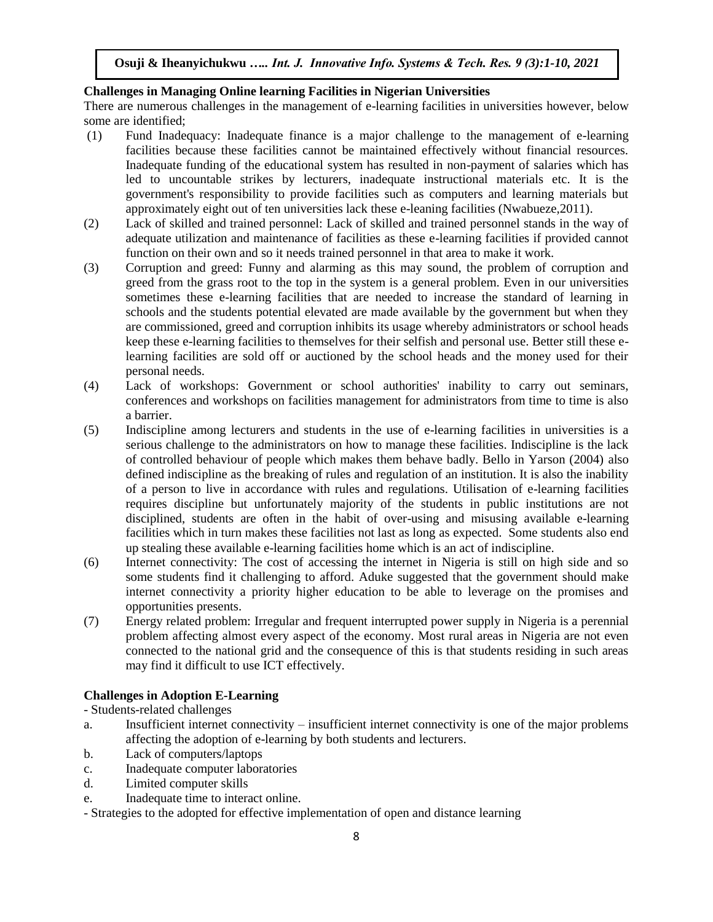# **Challenges in Managing Online learning Facilities in Nigerian Universities**

There are numerous challenges in the management of e-learning facilities in universities however, below some are identified;

- (1) Fund Inadequacy: Inadequate finance is a major challenge to the management of e-learning facilities because these facilities cannot be maintained effectively without financial resources. Inadequate funding of the educational system has resulted in non-payment of salaries which has led to uncountable strikes by lecturers, inadequate instructional materials etc. It is the government's responsibility to provide facilities such as computers and learning materials but approximately eight out of ten universities lack these e-leaning facilities (Nwabueze,2011).
- (2) Lack of skilled and trained personnel: Lack of skilled and trained personnel stands in the way of adequate utilization and maintenance of facilities as these e-learning facilities if provided cannot function on their own and so it needs trained personnel in that area to make it work.
- (3) Corruption and greed: Funny and alarming as this may sound, the problem of corruption and greed from the grass root to the top in the system is a general problem. Even in our universities sometimes these e-learning facilities that are needed to increase the standard of learning in schools and the students potential elevated are made available by the government but when they are commissioned, greed and corruption inhibits its usage whereby administrators or school heads keep these e-learning facilities to themselves for their selfish and personal use. Better still these elearning facilities are sold off or auctioned by the school heads and the money used for their personal needs.
- (4) Lack of workshops: Government or school authorities' inability to carry out seminars, conferences and workshops on facilities management for administrators from time to time is also a barrier.
- (5) Indiscipline among lecturers and students in the use of e-learning facilities in universities is a serious challenge to the administrators on how to manage these facilities. Indiscipline is the lack of controlled behaviour of people which makes them behave badly. Bello in Yarson (2004) also defined indiscipline as the breaking of rules and regulation of an institution. It is also the inability of a person to live in accordance with rules and regulations. Utilisation of e-learning facilities requires discipline but unfortunately majority of the students in public institutions are not disciplined, students are often in the habit of over-using and misusing available e-learning facilities which in turn makes these facilities not last as long as expected. Some students also end up stealing these available e-learning facilities home which is an act of indiscipline.
- (6) Internet connectivity: The cost of accessing the internet in Nigeria is still on high side and so some students find it challenging to afford. Aduke suggested that the government should make internet connectivity a priority higher education to be able to leverage on the promises and opportunities presents.
- (7) Energy related problem: Irregular and frequent interrupted power supply in Nigeria is a perennial problem affecting almost every aspect of the economy. Most rural areas in Nigeria are not even connected to the national grid and the consequence of this is that students residing in such areas may find it difficult to use ICT effectively.

# **Challenges in Adoption E-Learning**

- Students-related challenges

- a. Insufficient internet connectivity insufficient internet connectivity is one of the major problems affecting the adoption of e-learning by both students and lecturers.
- b. Lack of computers/laptops
- c. Inadequate computer laboratories
- d. Limited computer skills
- e. Inadequate time to interact online.
- Strategies to the adopted for effective implementation of open and distance learning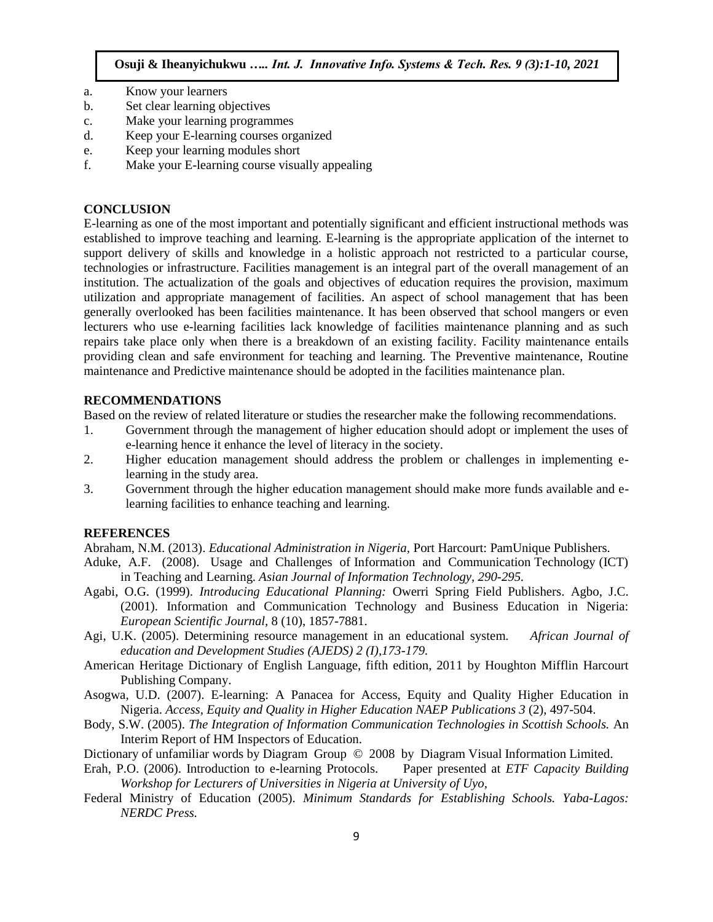- a. Know your learners
- b. Set clear learning objectives
- c. Make your learning programmes
- d. Keep your E-learning courses organized
- e. Keep your learning modules short
- f. Make your E-learning course visually appealing

#### **CONCLUSION**

E-learning as one of the most important and potentially significant and efficient instructional methods was established to improve teaching and learning. E-learning is the appropriate application of the internet to support delivery of skills and knowledge in a holistic approach not restricted to a particular course, technologies or infrastructure. Facilities management is an integral part of the overall management of an institution. The actualization of the goals and objectives of education requires the provision, maximum utilization and appropriate management of facilities. An aspect of school management that has been generally overlooked has been facilities maintenance. It has been observed that school mangers or even lecturers who use e-learning facilities lack knowledge of facilities maintenance planning and as such repairs take place only when there is a breakdown of an existing facility. Facility maintenance entails providing clean and safe environment for teaching and learning. The Preventive maintenance, Routine maintenance and Predictive maintenance should be adopted in the facilities maintenance plan.

#### **RECOMMENDATIONS**

Based on the review of related literature or studies the researcher make the following recommendations.

- 1. Government through the management of higher education should adopt or implement the uses of e-learning hence it enhance the level of literacy in the society.
- 2. Higher education management should address the problem or challenges in implementing elearning in the study area.
- 3. Government through the higher education management should make more funds available and elearning facilities to enhance teaching and learning.

#### **REFERENCES**

Abraham, N.M. (2013). *Educational Administration in Nigeria,* Port Harcourt: PamUnique Publishers.

- Aduke, A.F. (2008). Usage and Challenges of Information and Communication Technology (ICT) in Teaching and Learning. *Asian Journal of Information Technology, 290-295.*
- Agabi, O.G. (1999). *Introducing Educational Planning:* Owerri Spring Field Publishers. Agbo, J.C. (2001). Information and Communication Technology and Business Education in Nigeria: *European Scientific Journal,* 8 (10), 1857-7881.
- Agi, U.K. (2005). Determining resource management in an educational system. *African Journal of education and Development Studies (AJEDS) 2 (I),173-179.*
- American Heritage Dictionary of English Language, fifth edition, 2011 by Houghton Mifflin Harcourt Publishing Company.
- Asogwa, U.D. (2007). E-learning: A Panacea for Access, Equity and Quality Higher Education in Nigeria. *Access, Equity and Quality in Higher Education NAEP Publications 3* (2), 497-504.
- Body, S.W. (2005). *The Integration of Information Communication Technologies in Scottish Schools.* An Interim Report of HM Inspectors of Education.
- Dictionary of unfamiliar words by Diagram Group © 2008 by Diagram Visual Information Limited.
- Erah, P.O. (2006). Introduction to e-learning Protocols. Paper presented at *ETF Capacity Building Workshop for Lecturers of Universities in Nigeria at University of Uyo,*
- Federal Ministry of Education (2005). *Minimum Standards for Establishing Schools. Yaba-Lagos: NERDC Press.*